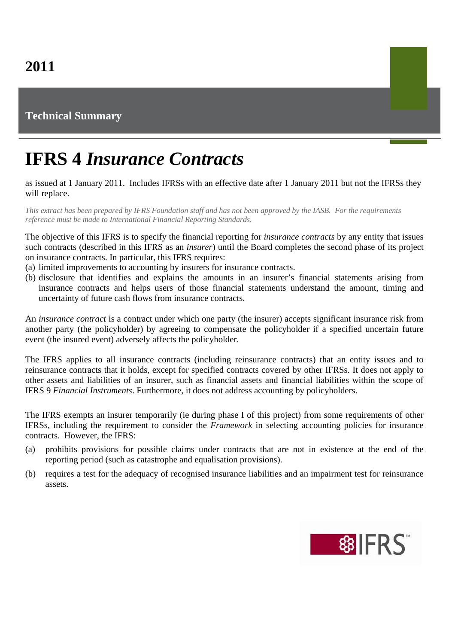## **Technical Summary**

## **IFRS 4** *Insurance Contracts*

as issued at 1 January 2011. Includes IFRSs with an effective date after 1 January 2011 but not the IFRSs they will replace.

*This extract has been prepared by IFRS Foundation staff and has not been approved by the IASB. For the requirements reference must be made to International Financial Reporting Standards.*

The objective of this IFRS is to specify the financial reporting for *insurance contracts* by any entity that issues such contracts (described in this IFRS as an *insurer*) until the Board completes the second phase of its project on insurance contracts. In particular, this IFRS requires:

- (a) limited improvements to accounting by insurers for insurance contracts.
- (b) disclosure that identifies and explains the amounts in an insurer's financial statements arising from insurance contracts and helps users of those financial statements understand the amount, timing and uncertainty of future cash flows from insurance contracts.

An *insurance contract* is a contract under which one party (the insurer) accepts significant insurance risk from another party (the policyholder) by agreeing to compensate the policyholder if a specified uncertain future event (the insured event) adversely affects the policyholder.

The IFRS applies to all insurance contracts (including reinsurance contracts) that an entity issues and to reinsurance contracts that it holds, except for specified contracts covered by other IFRSs. It does not apply to other assets and liabilities of an insurer, such as financial assets and financial liabilities within the scope of IFRS 9 *Financial Instruments*. Furthermore, it does not address accounting by policyholders.

The IFRS exempts an insurer temporarily (ie during phase I of this project) from some requirements of other IFRSs, including the requirement to consider the *Framework* in selecting accounting policies for insurance contracts. However, the IFRS:

- (a) prohibits provisions for possible claims under contracts that are not in existence at the end of the reporting period (such as catastrophe and equalisation provisions).
- (b) requires a test for the adequacy of recognised insurance liabilities and an impairment test for reinsurance assets.